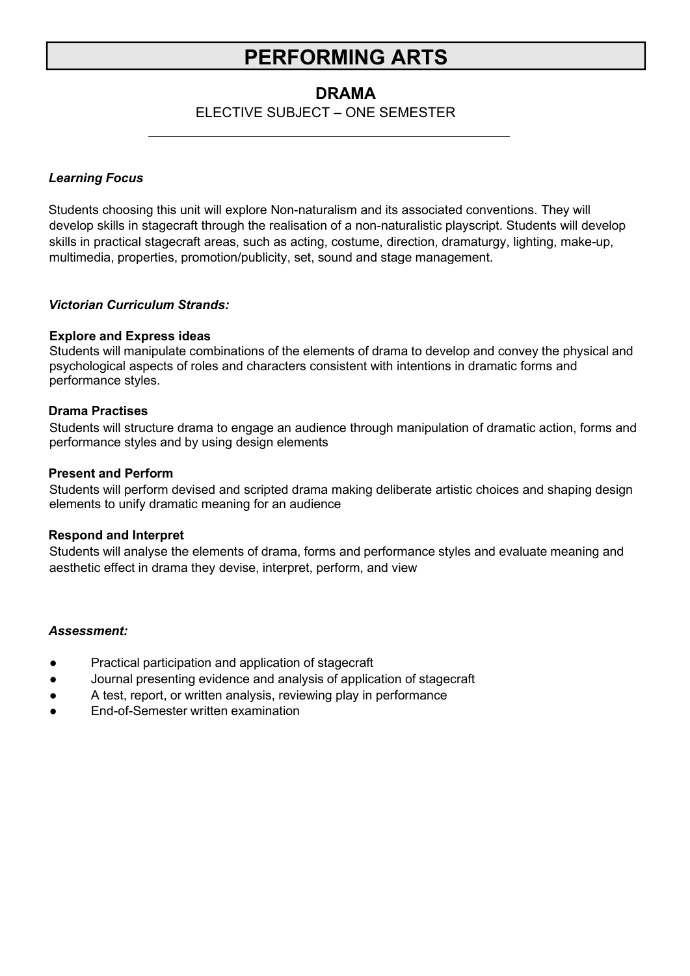# **DRAMA**

ELECTIVE SUBJECT – ONE SEMESTER

## *Learning Focus*

Students choosing this unit will explore Non-naturalism and its associated conventions. They will develop skills in stagecraft through the realisation of a non-naturalistic playscript. Students will develop skills in practical stagecraft areas, such as acting, costume, direction, dramaturgy, lighting, make-up, multimedia, properties, promotion/publicity, set, sound and stage management.

## *Victorian Curriculum Strands:*

## **Explore and Express ideas**

Students will manipulate combinations of the elements of drama to develop and convey the physical and psychological aspects of roles and characters consistent with intentions in dramatic forms and performance styles.

## **Drama Practises**

Students will structure drama to engage an audience through manipulation of dramatic action, forms and performance styles and by using design elements

## **Present and Perform**

Students will perform devised and scripted drama making deliberate artistic choices and shaping design elements to unify dramatic meaning for an audience

## **Respond and Interpret**

Students will analyse the elements of drama, forms and performance styles and evaluate meaning and aesthetic effect in drama they devise, interpret, perform, and view

## *Assessment:*

- Practical participation and application of stagecraft
- Journal presenting evidence and analysis of application of stagecraft
- A test, report, or written analysis, reviewing play in performance
- End-of-Semester written examination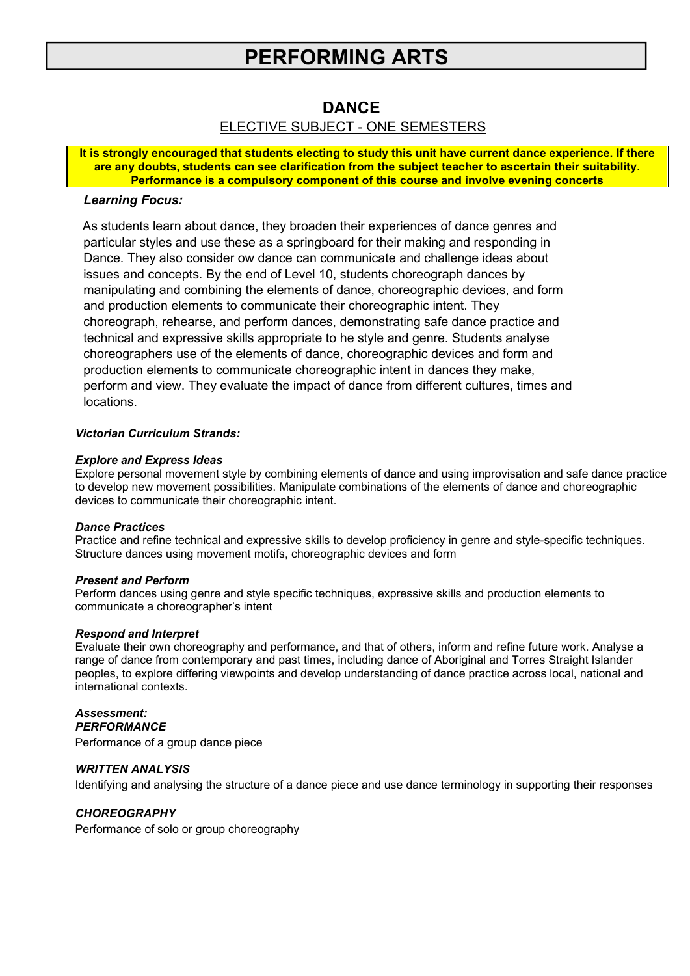## **DANCE**

# ELECTIVE SUBJECT - ONE SEMESTERS

**It is strongly encouraged that students electing to study this unit have current dance experience. If there are any doubts, students can see clarification from the subject teacher to ascertain their suitability. Performance is a compulsory component of this course and involve evening concerts**

### *Learning Focus:*

As students learn about dance, they broaden their experiences of dance genres and particular styles and use these as a springboard for their making and responding in Dance. They also consider ow dance can communicate and challenge ideas about issues and concepts. By the end of Level 10, students choreograph dances by manipulating and combining the elements of dance, choreographic devices, and form and production elements to communicate their choreographic intent. They choreograph, rehearse, and perform dances, demonstrating safe dance practice and technical and expressive skills appropriate to he style and genre. Students analyse choreographers use of the elements of dance, choreographic devices and form and production elements to communicate choreographic intent in dances they make, perform and view. They evaluate the impact of dance from different cultures, times and locations.

#### *Victorian Curriculum Strands:*

#### *Explore and Express Ideas*

Explore personal movement style by combining elements of dance and using improvisation and safe dance practice to develop new movement possibilities. Manipulate combinations of the elements of dance and choreographic devices to communicate their choreographic intent.

#### *Dance Practices*

Practice and refine technical and expressive skills to develop proficiency in genre and style-specific techniques. Structure dances using movement motifs, choreographic devices and form

#### *Present and Perform*

Perform dances using genre and style specific techniques, expressive skills and production elements to communicate a choreographer's intent

#### *Respond and Interpret*

Evaluate their own choreography and performance, and that of others, inform and refine future work. Analyse a range of dance from contemporary and past times, including dance of Aboriginal and Torres Straight Islander peoples, to explore differing viewpoints and develop understanding of dance practice across local, national and international contexts.

#### *Assessment: PERFORMANCE*

Performance of a group dance piece

#### *WRITTEN ANALYSIS*

Identifying and analysing the structure of a dance piece and use dance terminology in supporting their responses

#### *CHOREOGRAPHY*

Performance of solo or group choreography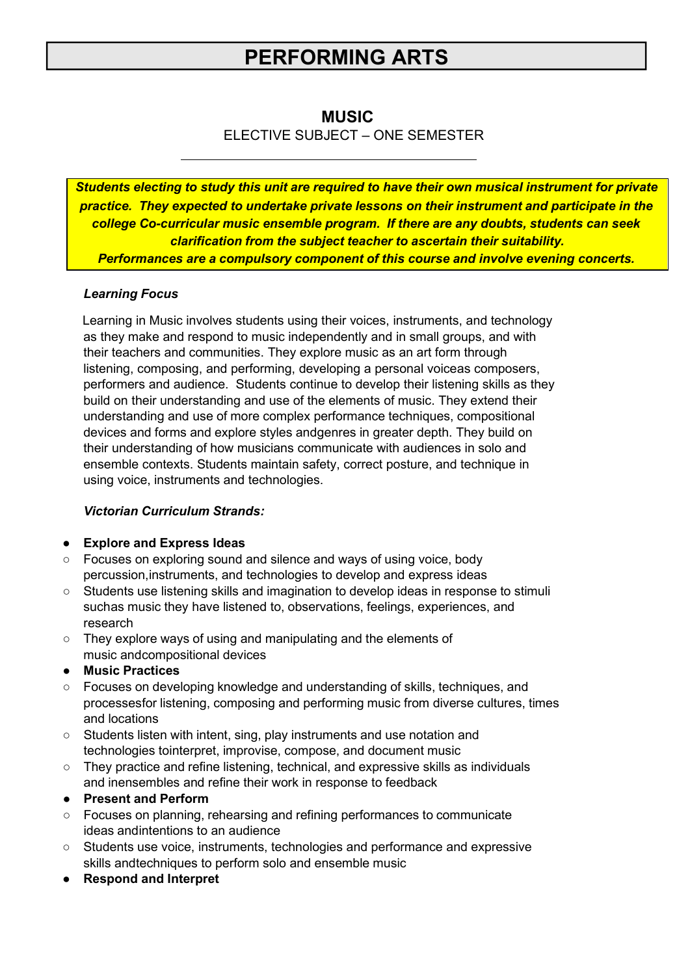# **MUSIC**

ELECTIVE SUBJECT – ONE SEMESTER

*Students electing to study this unit are required to have their own musical instrument for private practice. They expected to undertake private lessons on their instrument and participate in the college Co-curricular music ensemble program. If there are any doubts, students can seek clarification from the subject teacher to ascertain their suitability. Performances are a compulsory component of this course and involve evening concerts.*

# *Learning Focus*

Learning in Music involves students using their voices, instruments, and technology as they make and respond to music independently and in small groups, and with their teachers and communities. They explore music as an art form through listening, composing, and performing, developing a personal voiceas composers, performers and audience. Students continue to develop their listening skills as they build on their understanding and use of the elements of music. They extend their understanding and use of more complex performance techniques, compositional devices and forms and explore styles andgenres in greater depth. They build on their understanding of how musicians communicate with audiences in solo and ensemble contexts. Students maintain safety, correct posture, and technique in using voice, instruments and technologies.

# *Victorian Curriculum Strands:*

# **● Explore and Express Ideas**

- Focuses on exploring sound and silence and ways of using voice, body percussion,instruments, and technologies to develop and express ideas
- Students use listening skills and imagination to develop ideas in response to stimuli suchas music they have listened to, observations, feelings, experiences, and research
- They explore ways of using and manipulating and the elements of music andcompositional devices

# **● Music Practices**

- Focuses on developing knowledge and understanding of skills, techniques, and processesfor listening, composing and performing music from diverse cultures, times and locations
- **○** Students listen with intent, sing, play instruments and use notation and technologies tointerpret, improvise, compose, and document music
- **○** They practice and refine listening, technical, and expressive skills as individuals and inensembles and refine their work in response to feedback
- **● Present and Perform**
- Focuses on planning, rehearsing and refining performances to communicate ideas andintentions to an audience
- Students use voice, instruments, technologies and performance and expressive skills andtechniques to perform solo and ensemble music
- **● Respond and Interpret**